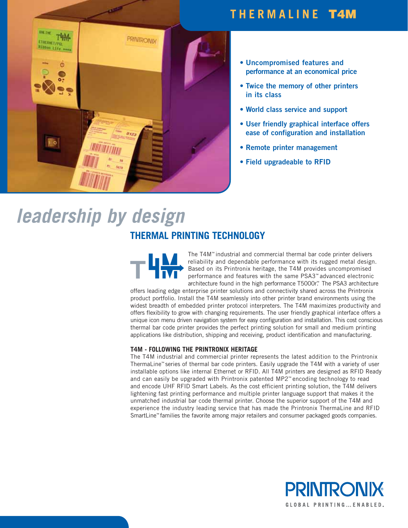## **THERMALINE T4M**



- **Uncompromised features and performance at an economical price**
- **Twice the memory of other printers in its class**
- **World class service and support**
- **User friendly graphical interface offers ease of configuration and installation**
- **Remote printer management**
- **Field upgradeable to RFID**

# leadership by design

## **THERMAL PRINTING TECHNOLOGY**

The T4M™ industrial and commercial thermal bar code printer delivers reliability and dependable performance with its rugged metal design. Based on its Printronix heritage, the T4M provides uncompromised performance and features with the same PSA3™ advanced electronic architecture found in the high performance T5000r™ The PSA3 architecture

offers leading edge enterprise printer solutions and connectivity shared across the Printronix product portfolio. Install the T4M seamlessly into other printer brand environments using the widest breadth of embedded printer protocol interpreters. The T4M maximizes productivity and offers flexibility to grow with changing requirements. The user friendly graphical interface offers a unique icon menu driven navigation system for easy configuration and installation. This cost conscious thermal bar code printer provides the perfect printing solution for small and medium printing applications like distribution, shipping and receiving, product identification and manufacturing.

#### **T4M - FOLLOWING THE PRINTRONIX HERITAGE**

The T4M industrial and commercial printer represents the latest addition to the Printronix ThermaLine™ series of thermal bar code printers. Easily upgrade the T4M with a variety of user installable options like internal Ethernet or RFID. All T4M printers are designed as RFID Ready and can easily be upgraded with Printronix patented MP2™ encoding technology to read and encode UHF RFID Smart Labels. As the cost efficient printing solution, the T4M delivers lightening fast printing performance and multiple printer language support that makes it the unmatched industrial bar code thermal printer. Choose the superior support of the T4M and experience the industry leading service that has made the Printronix ThermaLine and RFID SmartLine™ families the favorite among major retailers and consumer packaged goods companies.